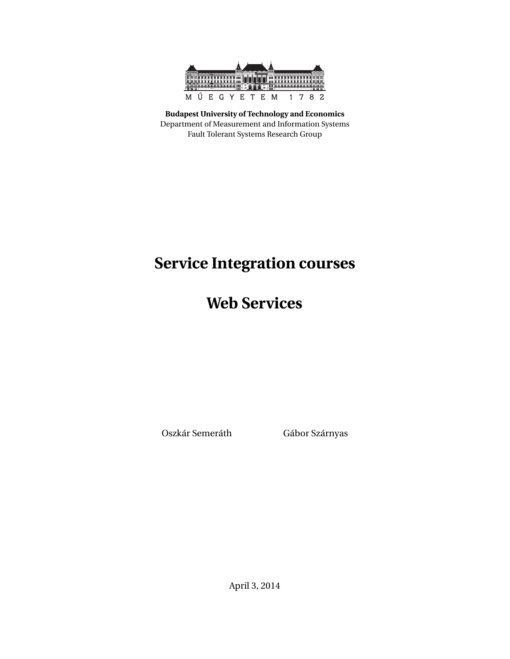

**Budapest University of Technology and Economics** Department of Measurement and Information Systems Fault Tolerant Systems Research Group

# **Service Integration courses**

**Web Services**

Oszkár Semeráth Gábor Szárnyas

April 3, 2014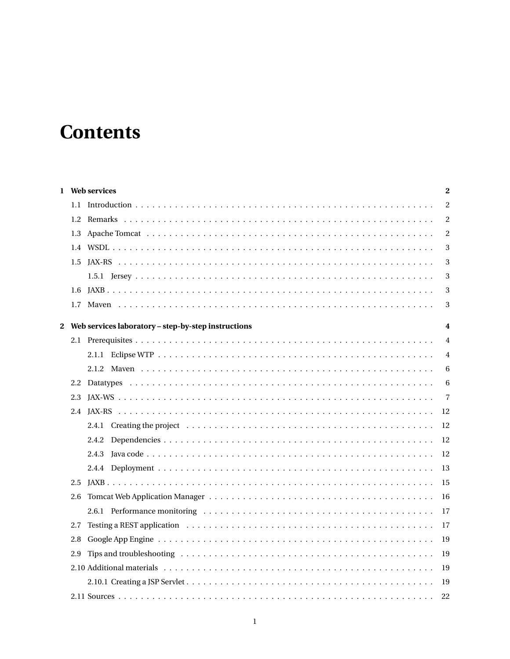# **Contents**

|               | 1 Web services                                        | $\bf{2}$       |
|---------------|-------------------------------------------------------|----------------|
| $1.1 -$       |                                                       | $\overline{c}$ |
| $1.2^{\circ}$ |                                                       | 2              |
|               |                                                       | 2              |
|               |                                                       | 3              |
| 1.5           |                                                       | 3              |
|               |                                                       | 3              |
|               |                                                       | 3              |
|               |                                                       | 3              |
|               | 2 Web services laboratory - step-by-step instructions | 4              |
|               |                                                       | $\overline{4}$ |
|               |                                                       | 4              |
|               |                                                       | 6              |
|               |                                                       | 6              |
| 2.3           |                                                       | $\overline{7}$ |
|               |                                                       | 12             |
|               |                                                       | 12             |
|               | 2.4.2                                                 | 12             |
|               | 2.4.3                                                 | 12             |
|               |                                                       | 13             |
| 2.5           |                                                       | 15             |
| 2.6           |                                                       | 16             |
|               |                                                       | 17             |
| 2.7           |                                                       | 17             |
| 2.8           |                                                       | 19             |
| 2.9           |                                                       | 19             |
|               |                                                       | 19             |
|               |                                                       | 19             |
|               | 2.11 Sources                                          | 22             |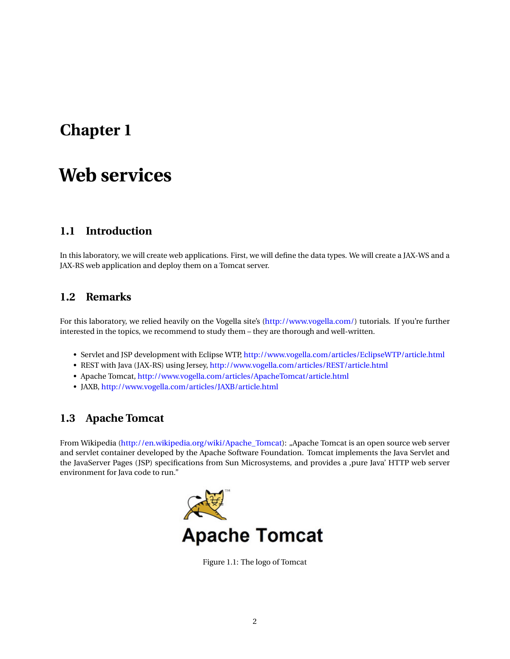# <span id="page-2-0"></span>**Chapter 1**

# **Web services**

## <span id="page-2-1"></span>**1.1 Introduction**

In this laboratory, we will create web applications. First, we will define the data types. We will create a JAX-WS and a JAX-RS web application and deploy them on a Tomcat server.

## <span id="page-2-2"></span>**1.2 Remarks**

For this laboratory, we relied heavily on the Vogella site's [\(http://www.vogella.com/\)](http://www.vogella.com/) tutorials. If you're further interested in the topics, we recommend to study them – they are thorough and well-written.

- Servlet and JSP development with Eclipse WTP, <http://www.vogella.com/articles/EclipseWTP/article.html>
- REST with Java (JAX-RS) using Jersey, <http://www.vogella.com/articles/REST/article.html>
- Apache Tomcat, <http://www.vogella.com/articles/ApacheTomcat/article.html>
- JAXB, <http://www.vogella.com/articles/JAXB/article.html>

# <span id="page-2-3"></span>**1.3 Apache Tomcat**

From Wikipedia [\(http://en.wikipedia.org/wiki/Apache\\_Tomcat\)](http://en.wikipedia.org/wiki/Apache_Tomcat): "Apache Tomcat is an open source web server and servlet container developed by the Apache Software Foundation. Tomcat implements the Java Servlet and the JavaServer Pages (JSP) specifications from Sun Microsystems, and provides a ,pure Java' HTTP web server environment for Java code to run."



Figure 1.1: The logo of Tomcat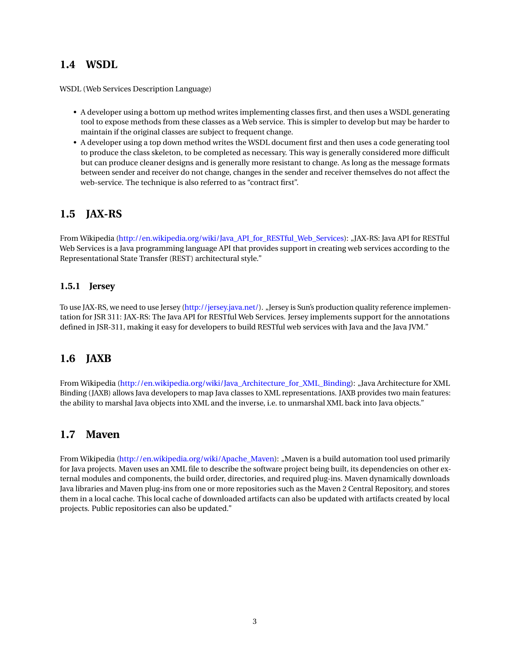## <span id="page-3-0"></span>**1.4 WSDL**

WSDL (Web Services Description Language)

- A developer using a bottom up method writes implementing classes first, and then uses a WSDL generating tool to expose methods from these classes as a Web service. This is simpler to develop but may be harder to maintain if the original classes are subject to frequent change.
- A developer using a top down method writes the WSDL document first and then uses a code generating tool to produce the class skeleton, to be completed as necessary. This way is generally considered more difficult but can produce cleaner designs and is generally more resistant to change. As long as the message formats between sender and receiver do not change, changes in the sender and receiver themselves do not affect the web-service. The technique is also referred to as "contract first".

# <span id="page-3-1"></span>**1.5 JAX-RS**

From Wikipedia [\(http://en.wikipedia.org/wiki/Java\\_API\\_for\\_RESTful\\_Web\\_Services\)](http://en.wikipedia.org/wiki/Java_API_for_RESTful_Web_Services): "JAX-RS: Java API for RESTful Web Services is a Java programming language API that provides support in creating web services according to the Representational State Transfer (REST) architectural style."

### <span id="page-3-2"></span>**1.5.1 Jersey**

To use JAX-RS, we need to use Jersey [\(http://jersey.java.net/\)](http://jersey.java.net/). "Jersey is Sun's production quality reference implementation for JSR 311: JAX-RS: The Java API for RESTful Web Services. Jersey implements support for the annotations defined in JSR-311, making it easy for developers to build RESTful web services with Java and the Java JVM."

# <span id="page-3-3"></span>**1.6 JAXB**

From Wikipedia [\(http://en.wikipedia.org/wiki/Java\\_Architecture\\_for\\_XML\\_Binding\)](http://en.wikipedia.org/wiki/Java_Architecture_for_XML_Binding): "Java Architecture for XML Binding (JAXB) allows Java developers to map Java classes to XML representations. JAXB provides two main features: the ability to marshal Java objects into XML and the inverse, i.e. to unmarshal XML back into Java objects."

## <span id="page-3-4"></span>**1.7 Maven**

From Wikipedia [\(http://en.wikipedia.org/wiki/Apache\\_Maven\)](http://en.wikipedia.org/wiki/Apache_Maven): "Maven is a build automation tool used primarily for Java projects. Maven uses an XML file to describe the software project being built, its dependencies on other external modules and components, the build order, directories, and required plug-ins. Maven dynamically downloads Java libraries and Maven plug-ins from one or more repositories such as the Maven 2 Central Repository, and stores them in a local cache. This local cache of downloaded artifacts can also be updated with artifacts created by local projects. Public repositories can also be updated."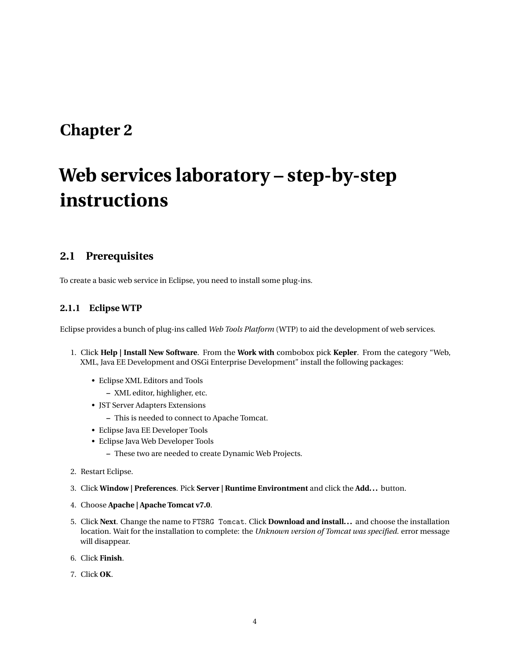# <span id="page-4-0"></span>**Chapter 2**

# **Web services laboratory – step-by-step instructions**

## <span id="page-4-1"></span>**2.1 Prerequisites**

To create a basic web service in Eclipse, you need to install some plug-ins.

### <span id="page-4-2"></span>**2.1.1 Eclipse WTP**

Eclipse provides a bunch of plug-ins called *Web Tools Platform* (WTP) to aid the development of web services.

- 1. Click **Help | Install New Software**. From the **Work with** combobox pick **Kepler**. From the category "Web, XML, Java EE Development and OSGi Enterprise Development" install the following packages:
	- Eclipse XML Editors and Tools
		- **–** XML editor, highligher, etc.
	- JST Server Adapters Extensions
		- **–** This is needed to connect to Apache Tomcat.
	- Eclipse Java EE Developer Tools
	- Eclipse Java Web Developer Tools
		- **–** These two are needed to create Dynamic Web Projects.
- 2. Restart Eclipse.
- 3. Click **Window | Preferences**. Pick **Server | Runtime Environtment** and click the **Add...** button.
- 4. Choose **Apache | Apache Tomcat v7.0**.
- 5. Click **Next**. Change the name to FTSRG Tomcat. Click **Download and install...** and choose the installation location. Wait for the installation to complete: the *Unknown version of Tomcat was specified.* error message will disappear.
- 6. Click **Finish**.
- 7. Click **OK**.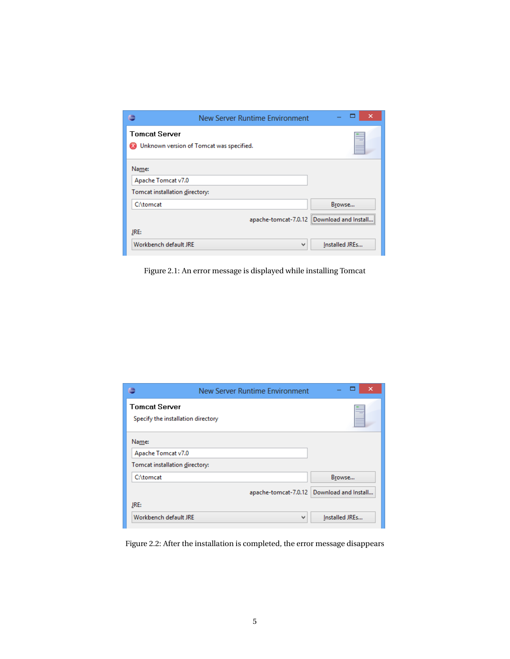|                                | New Server Runtime Environment           | ×              |
|--------------------------------|------------------------------------------|----------------|
| <b>Tomcat Server</b>           | Unknown version of Tomcat was specified. |                |
| Name:<br>Apache Tomcat v7.0    |                                          |                |
| Tomcat installation directory: |                                          |                |
| C:\tomcat                      |                                          | Browse         |
|                                | apache-tomcat-7.0.12                     | Download and   |
| JRE:                           |                                          |                |
| Workbench default JRE          | v                                        | Installed JREs |

Figure 2.1: An error message is displayed while installing Tomcat

|                                                               | New Server Runtime Environment | ×<br>-               |
|---------------------------------------------------------------|--------------------------------|----------------------|
| <b>Tomcat Server</b><br>Specify the installation directory    |                                |                      |
| Name:<br>Apache Tomcat v7.0<br>Tomcat installation directory: |                                |                      |
| C:\tomcat                                                     |                                | Browse               |
| JRE:                                                          | apache-tomcat-7.0.12           | Download and Install |
| Workbench default JRE                                         | $\mathbf{v}$                   | Installed JREs       |

Figure 2.2: After the installation is completed, the error message disappears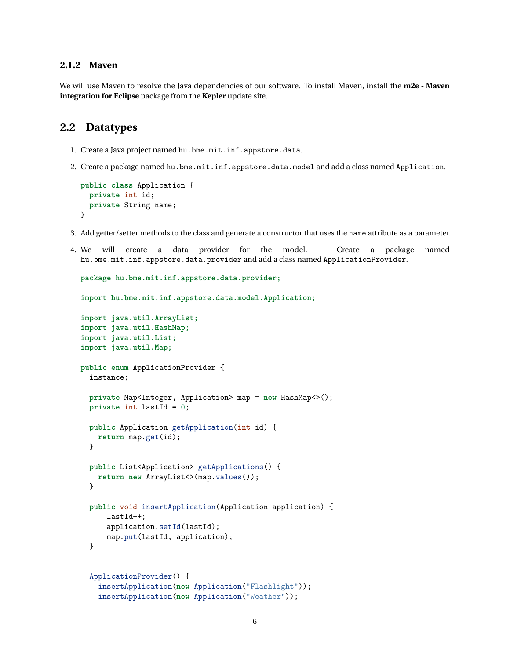#### <span id="page-6-0"></span>**2.1.2 Maven**

We will use Maven to resolve the Java dependencies of our software. To install Maven, install the **m2e - Maven integration for Eclipse** package from the **Kepler** update site.

### <span id="page-6-1"></span>**2.2 Datatypes**

- 1. Create a Java project named hu.bme.mit.inf.appstore.data.
- 2. Create a package named hu.bme.mit.inf.appstore.data.model and add a class named Application.

```
public class Application {
 private int id;
 private String name;
}
```
- 3. Add getter/setter methods to the class and generate a constructor that uses the name attribute as a parameter.
- 4. We will create a data provider for the model. Create a package named hu.bme.mit.inf.appstore.data.provider and add a class named ApplicationProvider.

```
package hu.bme.mit.inf.appstore.data.provider;
import hu.bme.mit.inf.appstore.data.model.Application;
import java.util.ArrayList;
import java.util.HashMap;
import java.util.List;
import java.util.Map;
public enum ApplicationProvider {
  instance;
 private Map<Integer, Application> map = new HashMap<>();
 private int lastId = 0;
 public Application getApplication(int id) {
   return map.get(id);
 }
 public List<Application> getApplications() {
   return new ArrayList <> (map. values());
 }
 public void insertApplication(Application application) {
      lastId++;
      application.setId(lastId);
      map.put(lastId, application);
 }
  ApplicationProvider() {
    insertApplication(new Application("Flashlight"));
    insertApplication(new Application("Weather"));
```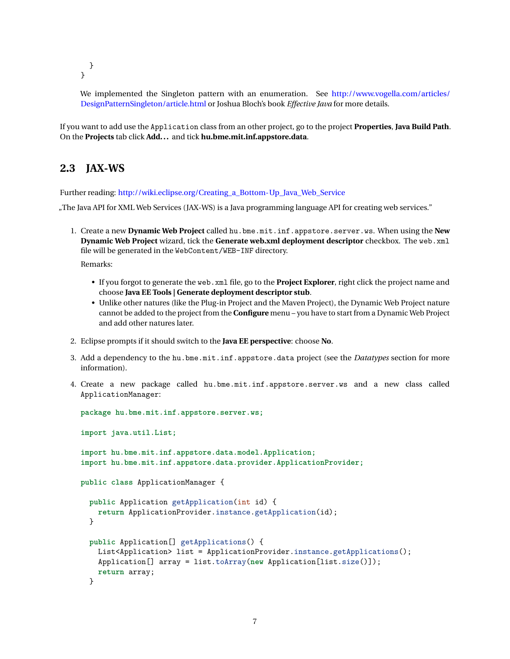} }

We implemented the Singleton pattern with an enumeration. See [http://www.vogella.com/articles/](http://www.vogella.com/articles/DesignPatternSingleton/article.html) [DesignPatternSingleton/article.html](http://www.vogella.com/articles/DesignPatternSingleton/article.html) or Joshua Bloch's book *Effective Java* for more details.

If you want to add use the Application class from an other project, go to the project **Properties**, **Java Build Path**. On the **Projects** tab click **Add...** and tick **hu.bme.mit.inf.appstore.data**.

# <span id="page-7-0"></span>**2.3 JAX-WS**

Further reading: [http://wiki.eclipse.org/Creating\\_a\\_Bottom-Up\\_Java\\_Web\\_Service](http://wiki.eclipse.org/Creating_a_Bottom-Up_Java_Web_Service)

"The Java API for XML Web Services (JAX-WS) is a Java programming language API for creating web services."

- 1. Create a new **Dynamic Web Project** called hu.bme.mit.inf.appstore.server.ws. When using the **New Dynamic Web Project** wizard, tick the **Generate web.xml deployment descriptor** checkbox. The web.xml file will be generated in the WebContent/WEB-INF directory. Remarks:
	- If you forgot to generate the web.xml file, go to the **Project Explorer**, right click the project name and choose **Java EE Tools | Generate deployment descriptor stub**.
	- Unlike other natures (like the Plug-in Project and the Maven Project), the Dynamic Web Project nature cannot be added to the project from the **Configure** menu – you have to start from a Dynamic Web Project and add other natures later.
- 2. Eclipse prompts if it should switch to the **Java EE perspective**: choose **No**.
- 3. Add a dependency to the hu.bme.mit.inf.appstore.data project (see the *Datatypes* section for more information).
- 4. Create a new package called hu.bme.mit.inf.appstore.server.ws and a new class called ApplicationManager:

```
package hu.bme.mit.inf.appstore.server.ws;
import java.util.List;
import hu.bme.mit.inf.appstore.data.model.Application;
import hu.bme.mit.inf.appstore.data.provider.ApplicationProvider;
public class ApplicationManager {
 public Application getApplication(int id) {
    return ApplicationProvider.instance.getApplication(id);
 }
 public Application[] getApplications() {
   List<Application> list = ApplicationProvider.instance.getApplications();
    Application[] array = list.toArray(new Application[list.size()]);
    return array;
 }
```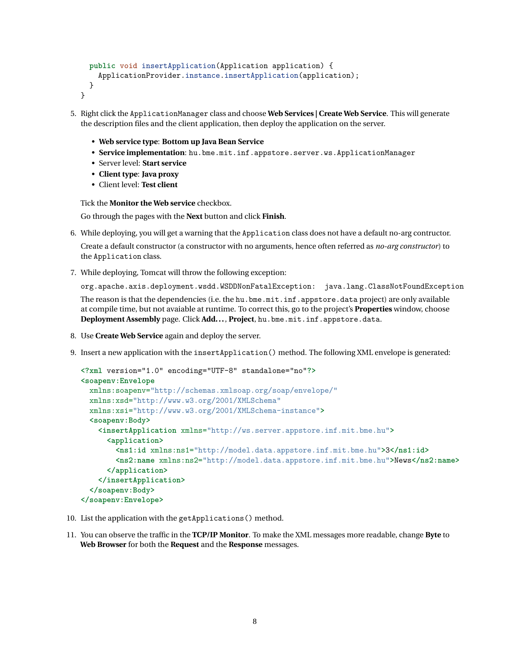```
public void insertApplication(Application application) {
    ApplicationProvider.instance.insertApplication(application);
 }
}
```
- 5. Right click the ApplicationManager class and choose **Web Services | Create Web Service**. This will generate the description files and the client application, then deploy the application on the server.
	- **Web service type**: **Bottom up Java Bean Service**
	- **Service implementation**: hu.bme.mit.inf.appstore.server.ws.ApplicationManager
	- Server level: **Start service**
	- **Client type**: **Java proxy**
	- Client level: **Test client**

Tick the **Monitor the Web service** checkbox.

Go through the pages with the **Next** button and click **Finish**.

- 6. While deploying, you will get a warning that the Application class does not have a default no-arg contructor. Create a default constructor (a constructor with no arguments, hence often referred as *no-arg constructor*) to the Application class.
- 7. While deploying, Tomcat will throw the following exception:

org.apache.axis.deployment.wsdd.WSDDNonFatalException: java.lang.ClassNotFoundException The reason is that the dependencies (i.e. the hu.bme.mit.inf.appstore.data project) are only available at compile time, but not avaiable at runtime. To correct this, go to the project's **Properties** window, choose **Deployment Assembly** page. Click **Add...**, **Project**, hu.bme.mit.inf.appstore.data.

- 8. Use **Create Web Service** again and deploy the server.
- 9. Insert a new application with the insertApplication() method. The following XML envelope is generated:

```
<?xml version="1.0" encoding="UTF-8" standalone="no"?>
<soapenv:Envelope
  xmlns:soapenv="http://schemas.xmlsoap.org/soap/envelope/"
  xmlns:xsd="http://www.w3.org/2001/XMLSchema"
  xmlns:xsi="http://www.w3.org/2001/XMLSchema-instance">
  <soapenv:Body>
    <insertApplication xmlns="http://ws.server.appstore.inf.mit.bme.hu">
      <application>
        <ns1:id xmlns:ns1="http://model.data.appstore.inf.mit.bme.hu">3</ns1:id>
        <ns2:name xmlns:ns2="http://model.data.appstore.inf.mit.bme.hu">News</ns2:name>
      </application>
    </insertApplication>
  </soapenv:Body>
</soapenv:Envelope>
```
- 10. List the application with the getApplications() method.
- 11. You can observe the traffic in the **TCP/IP Monitor**. To make the XML messages more readable, change **Byte** to **Web Browser** for both the **Request** and the **Response** messages.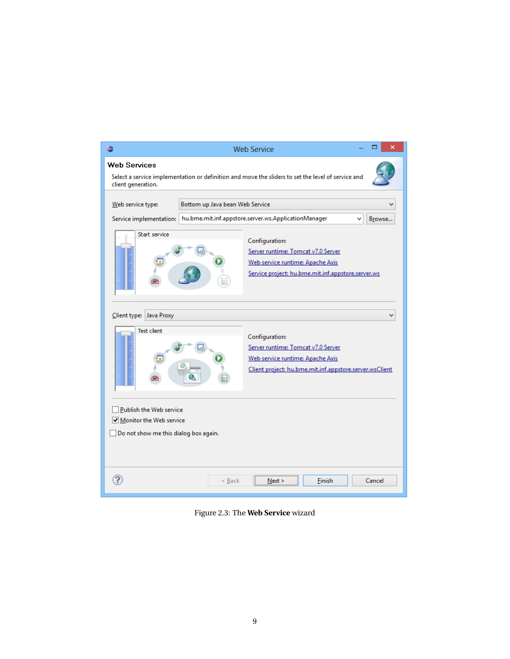

Figure 2.3: The **Web Service** wizard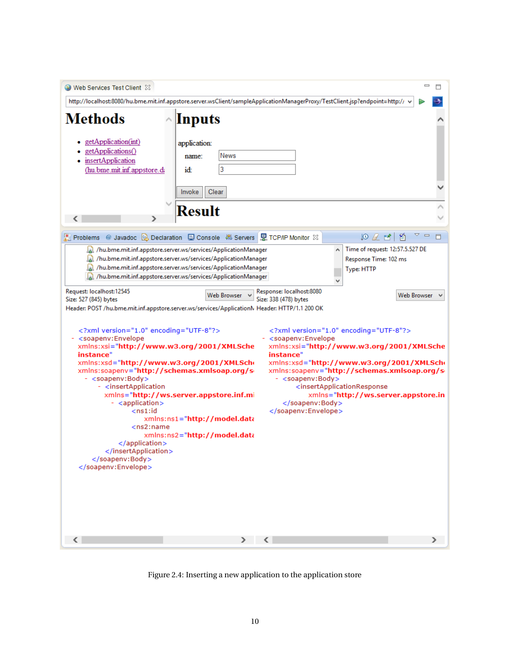| Web Services Test Client $\boxtimes$                                                                                                                                                                                                                                                                                                                                                                                                 |                                                                                                         |                                                                                                                                                                                                                                                                                         |                                                                                                  |   | $\qquad \qquad \Box$ |  |
|--------------------------------------------------------------------------------------------------------------------------------------------------------------------------------------------------------------------------------------------------------------------------------------------------------------------------------------------------------------------------------------------------------------------------------------|---------------------------------------------------------------------------------------------------------|-----------------------------------------------------------------------------------------------------------------------------------------------------------------------------------------------------------------------------------------------------------------------------------------|--------------------------------------------------------------------------------------------------|---|----------------------|--|
| http://localhost:8080/hu.bme.mit.inf.appstore.server.wsClient/sampleApplicationManagerProxy/TestClient.jsp?endpoint=http://                                                                                                                                                                                                                                                                                                          |                                                                                                         |                                                                                                                                                                                                                                                                                         |                                                                                                  |   |                      |  |
|                                                                                                                                                                                                                                                                                                                                                                                                                                      |                                                                                                         |                                                                                                                                                                                                                                                                                         |                                                                                                  |   |                      |  |
| <b>Methods</b>                                                                                                                                                                                                                                                                                                                                                                                                                       | Inputs                                                                                                  |                                                                                                                                                                                                                                                                                         |                                                                                                  |   |                      |  |
| getApplication(int)<br>getApplications()<br>insertApplication<br>(hu.bme.mit.inf.appstore.di                                                                                                                                                                                                                                                                                                                                         | application:<br>News<br>name:<br>3<br>id:                                                               |                                                                                                                                                                                                                                                                                         |                                                                                                  |   |                      |  |
|                                                                                                                                                                                                                                                                                                                                                                                                                                      | Invoke<br>Clear                                                                                         |                                                                                                                                                                                                                                                                                         |                                                                                                  |   |                      |  |
|                                                                                                                                                                                                                                                                                                                                                                                                                                      |                                                                                                         |                                                                                                                                                                                                                                                                                         |                                                                                                  |   |                      |  |
|                                                                                                                                                                                                                                                                                                                                                                                                                                      | Result                                                                                                  |                                                                                                                                                                                                                                                                                         |                                                                                                  |   |                      |  |
| <b>Problems</b>                                                                                                                                                                                                                                                                                                                                                                                                                      | @ Javadoc B Declaration D Console 48 Servers R TCP/IP Monitor XX                                        |                                                                                                                                                                                                                                                                                         | 如且凶                                                                                              | 陷 |                      |  |
| hu.bme.mit.inf.appstore.server.ws/services/ApplicationManager                                                                                                                                                                                                                                                                                                                                                                        |                                                                                                         |                                                                                                                                                                                                                                                                                         | Time of request: 12:57.5.527 DE                                                                  |   |                      |  |
| /hu.bme.mit.inf.appstore.server.ws/services/ApplicationManager                                                                                                                                                                                                                                                                                                                                                                       |                                                                                                         |                                                                                                                                                                                                                                                                                         | Response Time: 102 ms                                                                            |   |                      |  |
| hu.bme.mit.inf.appstore.server.ws/services/ApplicationManager                                                                                                                                                                                                                                                                                                                                                                        |                                                                                                         |                                                                                                                                                                                                                                                                                         | Type: HTTP                                                                                       |   |                      |  |
| All /hu.bme.mit.inf.appstore.server.ws/services/ApplicationManager_                                                                                                                                                                                                                                                                                                                                                                  |                                                                                                         |                                                                                                                                                                                                                                                                                         |                                                                                                  |   |                      |  |
| Request: localhost:12545<br>Size: 527 (845) bytes<br>Header: POST /hu.bme.mit.inf.appstore.server.ws/services/ApplicationN Header: HTTP/1.1 200 OK                                                                                                                                                                                                                                                                                   | Web Browser                                                                                             | Response: localhost:8080<br>Size: 338 (478) bytes                                                                                                                                                                                                                                       |                                                                                                  |   | Web Browser          |  |
| xml version="1.0" encoding="UTF-8"?<br>- <soapenv:envelope<br>xmlns:xsi="http://www.w3.org/2001/XMLSche<br/>instance"<br/>xmlns:xsd="http://www.w3.org/2001/XMLScho<br/>xmlns:soapenv="http://schemas.xmlsoap.org/s<br/>- <soapenv:body><br/>- <insertapplication<br>- <application><br/><math>n1</math>:id<br/><ns2:name<br></ns2:name<br></application><br/><br/></insertapplication<br></soapenv:body><br/></soapenv:envelope<br> | xmlns="http://ws.server.appstore.inf.mi<br>xmlns:ns1="http://model.data<br>xmlns:ns2="http://model.data | xml version="1.0" encoding="UTF-8"?<br>- <soapenv:envelope<br>xmlns:xsi="http://www.w3.org/2001/XMLSche<br/>instance"<br/>xmlns:xsd="http://www.w3.org/2001/XMLScho<br/>xmlns:soapenv="http://schemas.xmlsoap.org/s<br/>- <soapenv:body><br/></soapenv:body><br/></soapenv:envelope<br> | <insertapplicationresponse<br>xmlns="http://ws.server.appstore.in</insertapplicationresponse<br> |   |                      |  |
| $\langle$                                                                                                                                                                                                                                                                                                                                                                                                                            | > 1                                                                                                     |                                                                                                                                                                                                                                                                                         |                                                                                                  |   |                      |  |

Figure 2.4: Inserting a new application to the application store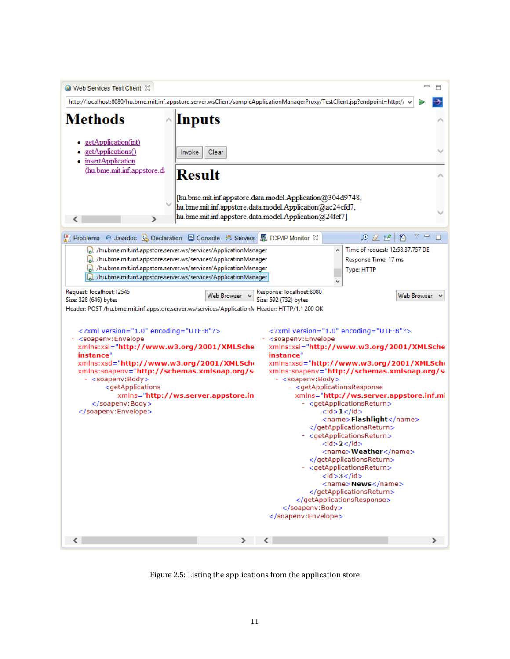![](_page_11_Picture_0.jpeg)

Figure 2.5: Listing the applications from the application store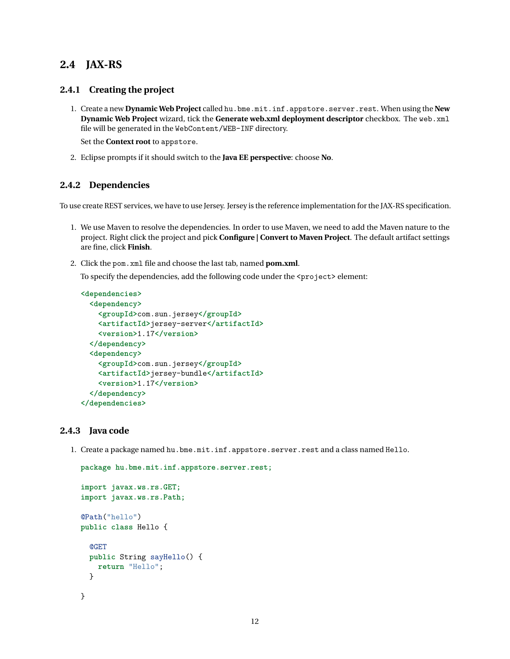## <span id="page-12-0"></span>**2.4 JAX-RS**

#### <span id="page-12-1"></span>**2.4.1 Creating the project**

1. Create a new **Dynamic Web Project** called hu.bme.mit.inf.appstore.server.rest. When using the **New Dynamic Web Project** wizard, tick the **Generate web.xml deployment descriptor** checkbox. The web.xml file will be generated in the WebContent/WEB-INF directory.

Set the **Context root** to appstore.

2. Eclipse prompts if it should switch to the **Java EE perspective**: choose **No**.

#### <span id="page-12-2"></span>**2.4.2 Dependencies**

To use create REST services, we have to use Jersey. Jersey is the reference implementation for the JAX-RS specification.

- 1. We use Maven to resolve the dependencies. In order to use Maven, we need to add the Maven nature to the project. Right click the project and pick **Configure | Convert to Maven Project**. The default artifact settings are fine, click **Finish**.
- 2. Click the pom.xml file and choose the last tab, named **pom.xml**.

To specify the dependencies, add the following code under the  $\langle$ project> element:

```
<dependencies>
  <dependency>
    <groupId>com.sun.jersey</groupId>
    <artifactId>jersey-server</artifactId>
    <version>1.17</version>
  </dependency>
  <dependency>
    <groupId>com.sun.jersey</groupId>
    <artifactId>jersey-bundle</artifactId>
    <version>1.17</version>
  </dependency>
</dependencies>
```
#### <span id="page-12-3"></span>**2.4.3 Java code**

1. Create a package named hu.bme.mit.inf.appstore.server.rest and a class named Hello.

```
package hu.bme.mit.inf.appstore.server.rest;
import javax.ws.rs.GET;
import javax.ws.rs.Path;
@Path("hello")
public class Hello {
  @GET
 public String sayHello() {
    return "Hello";
 }
}
```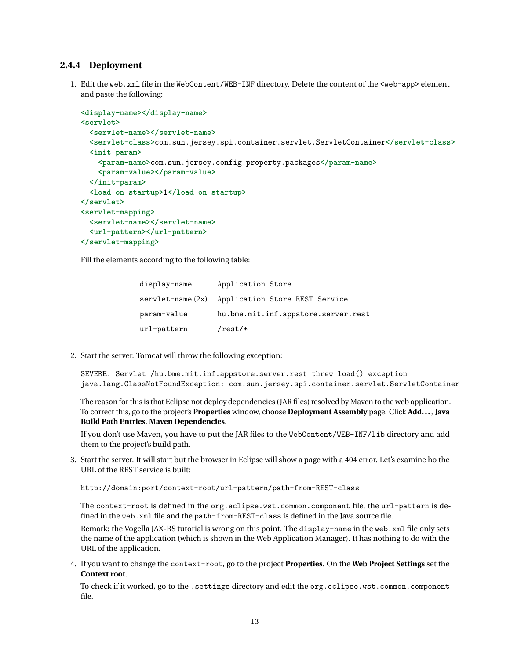#### <span id="page-13-0"></span>**2.4.4 Deployment**

1. Edit the web.xml file in the WebContent/WEB-INF directory. Delete the content of the <web-app> element and paste the following:

```
<display-name></display-name>
<servlet>
  <servlet-name></servlet-name>
  <servlet-class>com.sun.jersey.spi.container.servlet.ServletContainer</servlet-class>
  <init-param>
    <param-name>com.sun.jersey.config.property.packages</param-name>
    <param-value></param-value>
  </init-param>
  <load-on-startup>1</load-on-startup>
</servlet>
<servlet-mapping>
  <servlet-name></servlet-name>
  <url-pattern></url-pattern>
</servlet-mapping>
```
Fill the elements according to the following table:

| display-name           | Application Store                   |
|------------------------|-------------------------------------|
| $servlet$ -name $(2x)$ | Application Store REST Service      |
| param-value            | hu.bme.mit.inf.appstore.server.rest |
| url-pattern            | $ensuremath{/rest}/\ast$            |

2. Start the server. Tomcat will throw the following exception:

SEVERE: Servlet /hu.bme.mit.inf.appstore.server.rest threw load() exception java.lang.ClassNotFoundException: com.sun.jersey.spi.container.servlet.ServletContainer

The reason for this is that Eclipse not deploy dependencies (JAR files) resolved by Maven to the web application. To correct this, go to the project's **Properties** window, choose **Deployment Assembly** page. Click **Add...**, **Java Build Path Entries**, **Maven Dependencies**.

If you don't use Maven, you have to put the JAR files to the WebContent/WEB-INF/lib directory and add them to the project's build path.

3. Start the server. It will start but the browser in Eclipse will show a page with a 404 error. Let's examine ho the URL of the REST service is built:

http://domain:port/context-root/url-pattern/path-from-REST-class

The context-root is defined in the org.eclipse.wst.common.component file, the url-pattern is defined in the web.xml file and the path-from-REST-class is defined in the Java source file.

Remark: the Vogella JAX-RS tutorial is wrong on this point. The display-name in the web. xml file only sets the name of the application (which is shown in the Web Application Manager). It has nothing to do with the URL of the application.

4. If you want to change the context-root, go to the project **Properties**. On the **Web Project Settings** set the **Context root**.

To check if it worked, go to the .settings directory and edit the org.eclipse.wst.common.component file.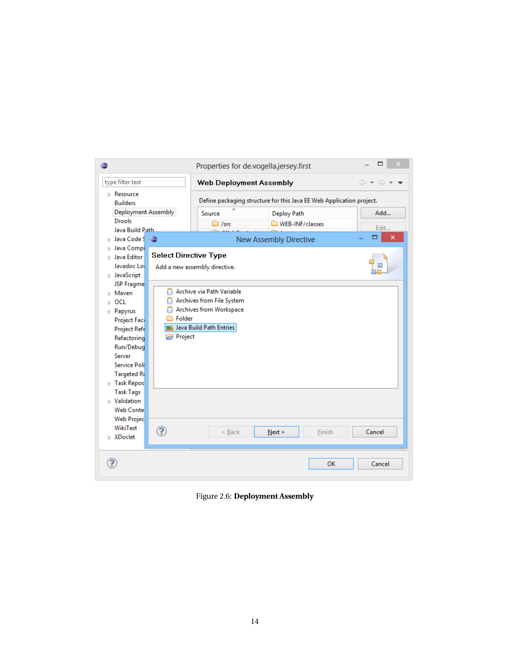|                                                                                                                                                                                                                                                                                                                                            |                                                                                                                          | Properties for de.vogella.jersey.first                               | ▭              |  |  |  |
|--------------------------------------------------------------------------------------------------------------------------------------------------------------------------------------------------------------------------------------------------------------------------------------------------------------------------------------------|--------------------------------------------------------------------------------------------------------------------------|----------------------------------------------------------------------|----------------|--|--|--|
| type filter text                                                                                                                                                                                                                                                                                                                           | Web Deployment Assembly                                                                                                  | 6 - 6                                                                |                |  |  |  |
| $\triangleright$ Resource<br><b>Builders</b>                                                                                                                                                                                                                                                                                               |                                                                                                                          | Define packaging structure for this Java EE Web Application project. |                |  |  |  |
| Deployment Assembly<br><b>Drools</b>                                                                                                                                                                                                                                                                                                       | Source<br>$\bigcirc$ /src                                                                                                | Deploy Path<br>WEB-INF/classes                                       | Add            |  |  |  |
| Java Build Path<br>⊳ Java Code S                                                                                                                                                                                                                                                                                                           |                                                                                                                          | <b>New Assembly Directive</b>                                        | Edit<br>▭<br>× |  |  |  |
| $\triangleright$ Java Compi<br><b>Select Directive Type</b><br><b>D</b> Java Editor<br>Javadoc Loi<br>$\triangleright$ JavaScript                                                                                                                                                                                                          | Add a new assembly directive.                                                                                            |                                                                      |                |  |  |  |
| JSP Fragme<br>n<br>Maven<br>OCL<br>Papyrus<br>ь<br>Folder<br>Project Face<br>Project Refe<br>Project<br>Refactoring<br>Run/Debug<br>Server<br>Service Poli<br><b>Targeted Ru</b><br>$\triangleright$ Task Repos<br><b>Task Tags</b><br>$\triangleright$ Validation<br><b>Web Contel</b><br><b>Web Projec</b><br>WikiText<br>?<br>⊳ XDoclet | Archive via Path Variable<br>Archives from File System<br>Archives from Workspace<br>a Java Build Path Entries<br>< Back | Finish<br>Next                                                       | Cancel         |  |  |  |
|                                                                                                                                                                                                                                                                                                                                            |                                                                                                                          | OK                                                                   | Cancel         |  |  |  |

Figure 2.6: **Deployment Assembly**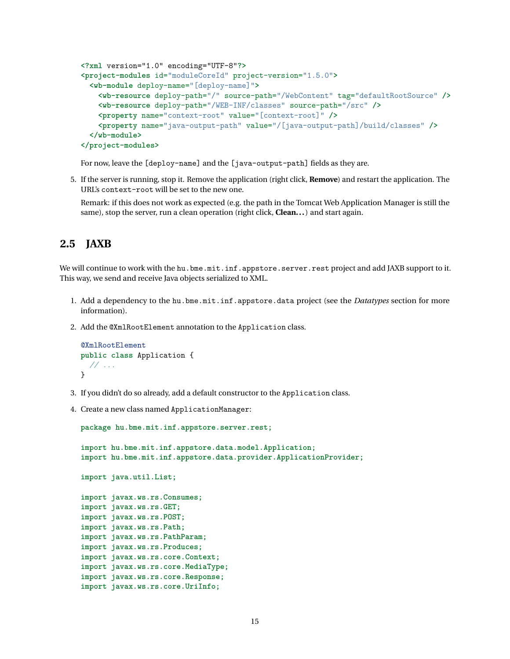```
<?xml version="1.0" encoding="UTF-8"?>
<project-modules id="moduleCoreId" project-version="1.5.0">
  <wb-module deploy-name="[deploy-name]">
    <wb-resource deploy-path="/" source-path="/WebContent" tag="defaultRootSource" />
    <wb-resource deploy-path="/WEB-INF/classes" source-path="/src" />
    <property name="context-root" value="[context-root]" />
    <property name="java-output-path" value="/[java-output-path]/build/classes" />
  </wb-module>
</project-modules>
```
For now, leave the [deploy-name] and the [java-output-path] fields as they are.

5. If the server is running, stop it. Remove the application (right click, **Remove**) and restart the application. The URL's context-root will be set to the new one.

Remark: if this does not work as expected (e.g. the path in the Tomcat Web Application Manager is still the same), stop the server, run a clean operation (right click, **Clean...**) and start again.

## <span id="page-15-0"></span>**2.5 JAXB**

We will continue to work with the hu.bme.mit.inf.appstore.server.rest project and add JAXB support to it. This way, we send and receive Java objects serialized to XML.

- 1. Add a dependency to the hu.bme.mit.inf.appstore.data project (see the *Datatypes* section for more information).
- 2. Add the @XmlRootElement annotation to the Application class.

```
@XmlRootElement
public class Application {
  // ...
}
```
- 3. If you didn't do so already, add a default constructor to the Application class.
- 4. Create a new class named ApplicationManager:

```
package hu.bme.mit.inf.appstore.server.rest;
import hu.bme.mit.inf.appstore.data.model.Application;
import hu.bme.mit.inf.appstore.data.provider.ApplicationProvider;
import java.util.List;
import javax.ws.rs.Consumes;
import javax.ws.rs.GET;
import javax.ws.rs.POST;
import javax.ws.rs.Path;
import javax.ws.rs.PathParam;
import javax.ws.rs.Produces;
import javax.ws.rs.core.Context;
import javax.ws.rs.core.MediaType;
import javax.ws.rs.core.Response;
import javax.ws.rs.core.UriInfo;
```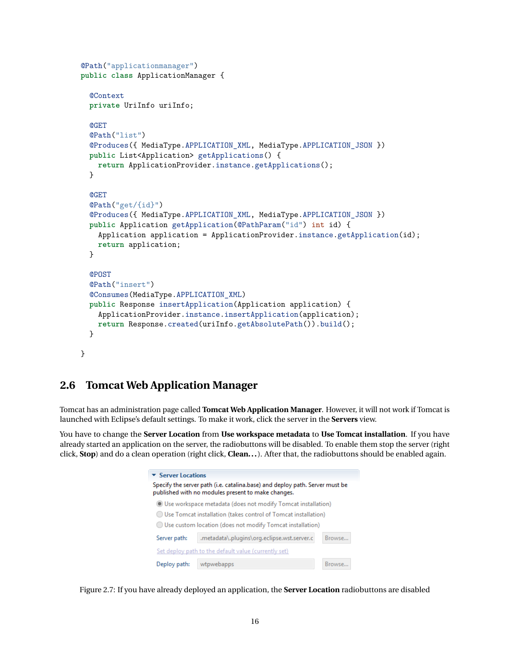```
@Path("applicationmanager")
public class ApplicationManager {
  @Context
 private UriInfo uriInfo;
  @GET
  @Path("list")
 @Produces({ MediaType.APPLICATION_XML, MediaType.APPLICATION_JSON })
 public List<Application> getApplications() {
   return ApplicationProvider.instance.getApplications();
 }
  @GET
  @Path("get/{id}")
  @Produces({ MediaType.APPLICATION_XML, MediaType.APPLICATION_JSON })
 public Application getApplication(@PathParam("id") int id) {
    Application application = ApplicationProvider.instance.getApplication(id);
    return application;
 }
  @POST
  @Path("insert")
  @Consumes(MediaType.APPLICATION_XML)
 public Response insertApplication(Application application) {
    ApplicationProvider.instance.insertApplication(application);
    return Response.created(uriInfo.getAbsolutePath()).build();
 }
}
```
### <span id="page-16-0"></span>**2.6 Tomcat Web Application Manager**

Tomcat has an administration page called **Tomcat Web Application Manager**. However, it will not work if Tomcat is launched with Eclipse's default settings. To make it work, click the server in the **Servers** view.

You have to change the **Server Location** from **Use workspace metadata** to **Use Tomcat installation**. If you have already started an application on the server, the radiobuttons will be disabled. To enable them stop the server (right click, **Stop**) and do a clean operation (right click, **Clean...**). After that, the radiobuttons should be enabled again.

| $\blacktriangleright$ Server Locations                                                                                             |                                                           |  |  |  |  |  |  |  |
|------------------------------------------------------------------------------------------------------------------------------------|-----------------------------------------------------------|--|--|--|--|--|--|--|
| Specify the server path (i.e. catalina.base) and deploy path. Server must be<br>published with no modules present to make changes. |                                                           |  |  |  |  |  |  |  |
| Use workspace metadata (does not modify Tomcat installation)                                                                       |                                                           |  |  |  |  |  |  |  |
| Use Tomcat installation (takes control of Tomcat installation)                                                                     |                                                           |  |  |  |  |  |  |  |
|                                                                                                                                    | Use custom location (does not modify Tomcat installation) |  |  |  |  |  |  |  |
| .metadata\.plugins\org.eclipse.wst.server.c<br>Browse<br>Server path:                                                              |                                                           |  |  |  |  |  |  |  |
| Set deploy path to the default value (currently set)                                                                               |                                                           |  |  |  |  |  |  |  |
| Deploy path:<br>wtpwebapps<br>Browse                                                                                               |                                                           |  |  |  |  |  |  |  |

Figure 2.7: If you have already deployed an application, the **Server Location** radiobuttons are disabled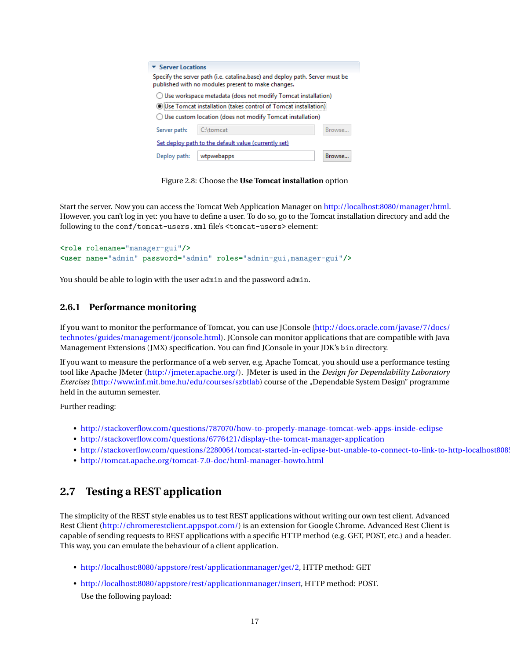| $\overline{\phantom{a}}$ Server Locations                                                                                                                                                                    |                     |               |  |  |  |  |  |
|--------------------------------------------------------------------------------------------------------------------------------------------------------------------------------------------------------------|---------------------|---------------|--|--|--|--|--|
| Specify the server path (i.e. catalina.base) and deploy path. Server must be<br>published with no modules present to make changes.                                                                           |                     |               |  |  |  |  |  |
| () Use workspace metadata (does not modify Tomcat installation)<br>(ilse Tomcat installation (takes control of Tomcat installation):<br>$\bigcirc$ Use custom location (does not modify Tomcat installation) |                     |               |  |  |  |  |  |
| Server path:                                                                                                                                                                                                 | C:\tomcat<br>Browse |               |  |  |  |  |  |
| Set deploy path to the default value (currently set)                                                                                                                                                         |                     |               |  |  |  |  |  |
| Deploy path:                                                                                                                                                                                                 | wtpwebapps          | <b>Rrowse</b> |  |  |  |  |  |

Figure 2.8: Choose the **Use Tomcat installation** option

Start the server. Now you can access the Tomcat Web Application Manager on [http://localhost:8080/manager/html.](http://localhost:8080/manager/html) However, you can't log in yet: you have to define a user. To do so, go to the Tomcat installation directory and add the following to the conf/tomcat-users.xml file's <tomcat-users> element:

```
<role rolename="manager-gui"/>
<user name="admin" password="admin" roles="admin-gui,manager-gui"/>
```
You should be able to login with the user admin and the password admin.

### <span id="page-17-0"></span>**2.6.1 Performance monitoring**

If you want to monitor the performance of Tomcat, you can use JConsole [\(http://docs.oracle.com/javase/7/docs/](http://docs.oracle.com/javase/7/docs/technotes/guides/management/jconsole.html) [technotes/guides/management/jconsole.html\)](http://docs.oracle.com/javase/7/docs/technotes/guides/management/jconsole.html). JConsole can monitor applications that are compatible with Java Management Extensions (JMX) specification. You can find JConsole in your JDK's bin directory.

If you want to measure the performance of a web server, e.g. Apache Tomcat, you should use a performance testing tool like Apache JMeter [\(http://jmeter.apache.org/\)](http://jmeter.apache.org/). JMeter is used in the *Design for Dependability Laboratory Exercises* [\(http://www.inf.mit.bme.hu/edu/courses/szbtlab\)](http://www.inf.mit.bme.hu/edu/courses/szbtlab) course of the "Dependable System Design" programme held in the autumn semester.

Further reading:

- <http://stackoverflow.com/questions/787070/how-to-properly-manage-tomcat-web-apps-inside-eclipse>
- <http://stackoverflow.com/questions/6776421/display-the-tomcat-manager-application>
- <http://stackoverflow.com/questions/2280064/tomcat-started-in-eclipse-but-unable-to-connect-to-link-to-http-localhost8085>
- <http://tomcat.apache.org/tomcat-7.0-doc/html-manager-howto.html>

# <span id="page-17-1"></span>**2.7 Testing a REST application**

The simplicity of the REST style enables us to test REST applications without writing our own test client. Advanced Rest Client [\(http://chromerestclient.appspot.com/\)](http://chromerestclient.appspot.com/) is an extension for Google Chrome. Advanced Rest Client is capable of sending requests to REST applications with a specific HTTP method (e.g. GET, POST, etc.) and a header. This way, you can emulate the behaviour of a client application.

- [http://localhost:8080/appstore/rest/applicationmanager/get/2,](http://localhost:8080/appstore/rest/applicationmanager/get/2) HTTP method: GET
- [http://localhost:8080/appstore/rest/applicationmanager/insert,](http://localhost:8080/appstore/rest/applicationmanager/insert) HTTP method: POST.

Use the following payload: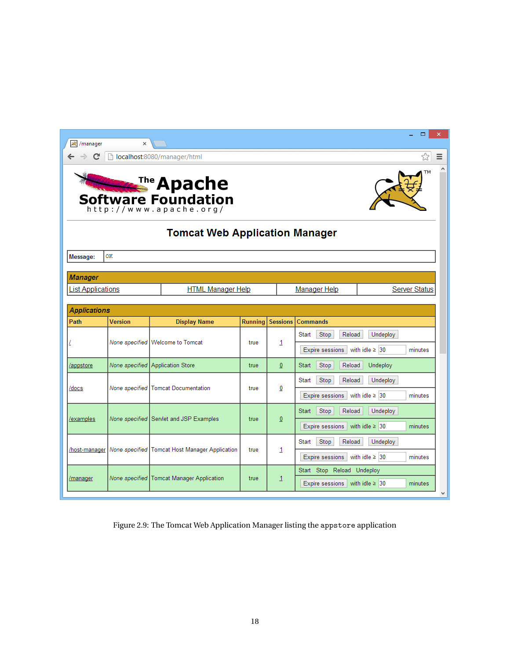| <b>/</b> /manager                                                                   | $\mathbf x$                                    |                                           |                |                 | $\Box$                                            |  |  |  |
|-------------------------------------------------------------------------------------|------------------------------------------------|-------------------------------------------|----------------|-----------------|---------------------------------------------------|--|--|--|
| localhost:8080/manager/html<br>C<br>Ξ<br>☆                                          |                                                |                                           |                |                 |                                                   |  |  |  |
| ΤМ<br><b>Example Apache</b><br><b>Software Foundation</b><br>http://www.apache.org/ |                                                |                                           |                |                 |                                                   |  |  |  |
|                                                                                     |                                                | <b>Tomcat Web Application Manager</b>     |                |                 |                                                   |  |  |  |
| Message:                                                                            | ОK                                             |                                           |                |                 |                                                   |  |  |  |
| <b>Manager</b>                                                                      |                                                |                                           |                |                 |                                                   |  |  |  |
| <b>List Applications</b>                                                            |                                                | <b>HTML Manager Help</b>                  |                |                 | <b>Manager Help</b><br><b>Server Status</b>       |  |  |  |
|                                                                                     |                                                |                                           |                |                 |                                                   |  |  |  |
| <b>Applications</b><br>Path                                                         | <b>Version</b>                                 | <b>Display Name</b>                       | <b>Running</b> | <b>Sessions</b> | <b>Commands</b>                                   |  |  |  |
|                                                                                     |                                                |                                           | true           |                 | Undeploy<br>Start<br>Stop<br>Reload               |  |  |  |
|                                                                                     |                                                | None specified   Welcome to Tomcat        |                | 1               | with idle $\geq$ 30<br>Expire sessions<br>minutes |  |  |  |
| /appstore                                                                           |                                                | None specified Application Store          | true           | $\mathbf{0}$    | <b>Start</b><br>Stop<br>Reload<br>Undeploy        |  |  |  |
|                                                                                     |                                                |                                           |                |                 | Stop<br>Reload<br>Undeploy<br>Start               |  |  |  |
| /docs                                                                               | None specified                                 | <b>Tomcat Documentation</b>               | true           | 0               | with idle $\geq$ 30<br>Expire sessions<br>minutes |  |  |  |
|                                                                                     |                                                |                                           |                |                 | Stop<br>Reload<br>Undeploy<br>Start               |  |  |  |
| None specified Servlet and JSP Examples<br>examples                                 |                                                |                                           | true           | $\overline{0}$  | Expire sessions<br>with idle $\geq$ 30<br>minutes |  |  |  |
|                                                                                     |                                                |                                           |                |                 | Stop<br>Reload<br>Undeploy<br><b>Start</b>        |  |  |  |
|                                                                                     |                                                |                                           | true           | 1               |                                                   |  |  |  |
| /host-manager                                                                       | None specified Tomcat Host Manager Application |                                           |                |                 | Expire sessions<br>with idle $\geq$ 30<br>minutes |  |  |  |
| /manager                                                                            |                                                | None specified Tomcat Manager Application | true           | 1               | Start Stop Reload Undeploy                        |  |  |  |

Figure 2.9: The Tomcat Web Application Manager listing the appstore application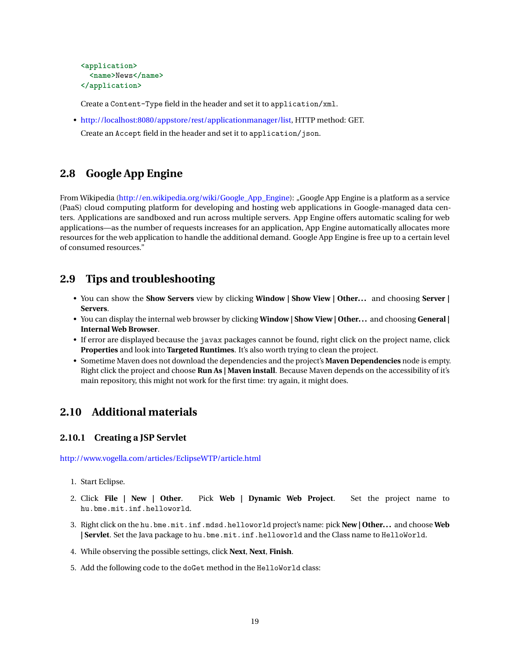```
<application>
  <name>News</name>
</application>
```
Create a Content-Type field in the header and set it to application/xml.

• [http://localhost:8080/appstore/rest/applicationmanager/list,](http://localhost:8080/appstore/rest/applicationmanager/list) HTTP method: GET. Create an Accept field in the header and set it to application/json.

## <span id="page-19-0"></span>**2.8 Google App Engine**

From Wikipedia [\(http://en.wikipedia.org/wiki/Google\\_App\\_Engine\)](http://en.wikipedia.org/wiki/Google_App_Engine): "Google App Engine is a platform as a service (PaaS) cloud computing platform for developing and hosting web applications in Google-managed data centers. Applications are sandboxed and run across multiple servers. App Engine offers automatic scaling for web applications—as the number of requests increases for an application, App Engine automatically allocates more resources for the web application to handle the additional demand. Google App Engine is free up to a certain level of consumed resources."

### <span id="page-19-1"></span>**2.9 Tips and troubleshooting**

- You can show the **Show Servers** view by clicking **Window | Show View | Other...** and choosing **Server | Servers**.
- You can display the internal web browser by clicking **Window | Show View | Other...** and choosing **General | Internal Web Browser**.
- If error are displayed because the javax packages cannot be found, right click on the project name, click **Properties** and look into **Targeted Runtimes**. It's also worth trying to clean the project.
- Sometime Maven does not download the dependencies and the project's **Maven Dependencies** node is empty. Right click the project and choose **Run As | Maven install**. Because Maven depends on the accessibility of it's main repository, this might not work for the first time: try again, it might does.

## <span id="page-19-2"></span>**2.10 Additional materials**

#### <span id="page-19-3"></span>**2.10.1 Creating a JSP Servlet**

<http://www.vogella.com/articles/EclipseWTP/article.html>

- 1. Start Eclipse.
- 2. Click **File | New | Other**. Pick **Web | Dynamic Web Project**. Set the project name to hu.bme.mit.inf.helloworld.
- 3. Right click on the hu.bme.mit.inf.mdsd.helloworld project's name: pick **New | Other...** and choose **Web | Servlet**. Set the Java package to hu.bme.mit.inf.helloworld and the Class name to HelloWorld.
- 4. While observing the possible settings, click **Next**, **Next**, **Finish**.
- 5. Add the following code to the doGet method in the HelloWorld class: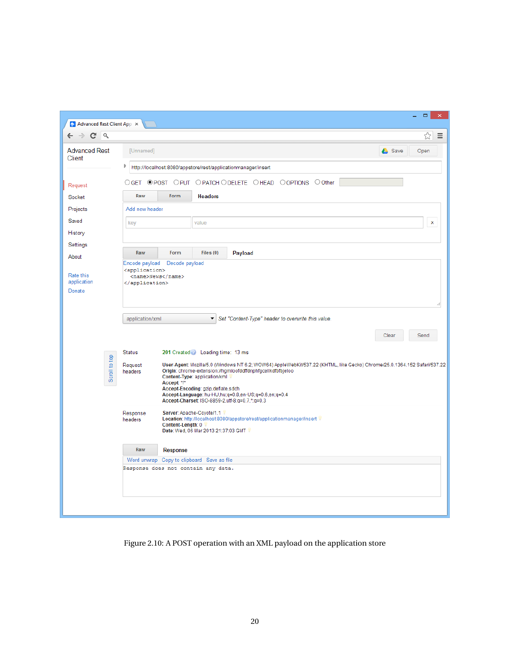| $\Box$<br>$\pmb{\times}$<br>Advanced Rest Client App X |                                                                          |                   |                                                                       |                                                                                                                                                                                                                                                                                                    |               |  |  |  |
|--------------------------------------------------------|--------------------------------------------------------------------------|-------------------|-----------------------------------------------------------------------|----------------------------------------------------------------------------------------------------------------------------------------------------------------------------------------------------------------------------------------------------------------------------------------------------|---------------|--|--|--|
| Q<br>C                                                 |                                                                          |                   |                                                                       |                                                                                                                                                                                                                                                                                                    | ☆<br>Ξ        |  |  |  |
| <b>Advanced Rest</b><br>Client                         | [Unnamed]                                                                |                   |                                                                       |                                                                                                                                                                                                                                                                                                    | Save<br>Open  |  |  |  |
|                                                        | Þ                                                                        |                   |                                                                       | http://localhost:8080/appstore/rest/applicationmanager/insert                                                                                                                                                                                                                                      |               |  |  |  |
| Request                                                | $\bigcirc$ GET                                                           |                   |                                                                       | <b>OPOST OPUT OPATCH ODELETE OHEAD OOPTIONS OOther</b>                                                                                                                                                                                                                                             |               |  |  |  |
| Socket                                                 | Raw                                                                      | Form              | <b>Headers</b>                                                        |                                                                                                                                                                                                                                                                                                    |               |  |  |  |
| Projects                                               | Add new header                                                           |                   |                                                                       |                                                                                                                                                                                                                                                                                                    |               |  |  |  |
| Saved                                                  | key                                                                      |                   | value                                                                 |                                                                                                                                                                                                                                                                                                    | x             |  |  |  |
| History                                                |                                                                          |                   |                                                                       |                                                                                                                                                                                                                                                                                                    |               |  |  |  |
| Settings                                               |                                                                          |                   |                                                                       |                                                                                                                                                                                                                                                                                                    |               |  |  |  |
| About                                                  | Raw                                                                      | Form              | Files $(0)$                                                           | Payload                                                                                                                                                                                                                                                                                            |               |  |  |  |
| Rate this<br>application<br>Donate                     | Encode payload<br><application><br/><name>News</name><br/></application> | Decode payload    |                                                                       |                                                                                                                                                                                                                                                                                                    |               |  |  |  |
|                                                        |                                                                          |                   |                                                                       |                                                                                                                                                                                                                                                                                                    |               |  |  |  |
|                                                        |                                                                          |                   |                                                                       |                                                                                                                                                                                                                                                                                                    | Send<br>Clear |  |  |  |
|                                                        | <b>Status</b>                                                            |                   | 201 Created Loading time: 13 ms                                       |                                                                                                                                                                                                                                                                                                    |               |  |  |  |
| Scroll to top                                          | Request<br>headers                                                       | Accept: */*       | Content-Type: application/xml<br>Accept-Encoding: gzip, deflate, sdch | User-Agent: Mozilla/5.0 (Windows NT 6.2; WOW64) AppleWebKit/537.22 (KHTML, like Gecko) Chrome/25.0.1364.152 Safari/537.22<br>Origin: chrome-extension://hgmloofddffdnphfgcellkdfbfbjeloo<br>Accept-Language: hu-HU,hu;q=0.8,en-US;q=0.6,en;q=0.4<br>Accept-Charset: ISO-8859-2,utf-8;q=0.7,*;q=0.3 |               |  |  |  |
|                                                        | Response<br>headers                                                      | Content-Length: 0 | Server: Apache-Coyote/1.1<br>Date: Wed, 06 Mar 2013 21:37:03 GMT      | Location: http://localhost:8080/appstore/rest/applicationmanager/insert                                                                                                                                                                                                                            |               |  |  |  |
|                                                        | Raw                                                                      | <b>Response</b>   |                                                                       |                                                                                                                                                                                                                                                                                                    |               |  |  |  |
|                                                        |                                                                          |                   | Word unwrap Copy to clipboard Save as file                            |                                                                                                                                                                                                                                                                                                    |               |  |  |  |
|                                                        |                                                                          |                   | Response does not contain any data.                                   |                                                                                                                                                                                                                                                                                                    |               |  |  |  |
|                                                        |                                                                          |                   |                                                                       |                                                                                                                                                                                                                                                                                                    |               |  |  |  |

Figure 2.10: A POST operation with an XML payload on the application store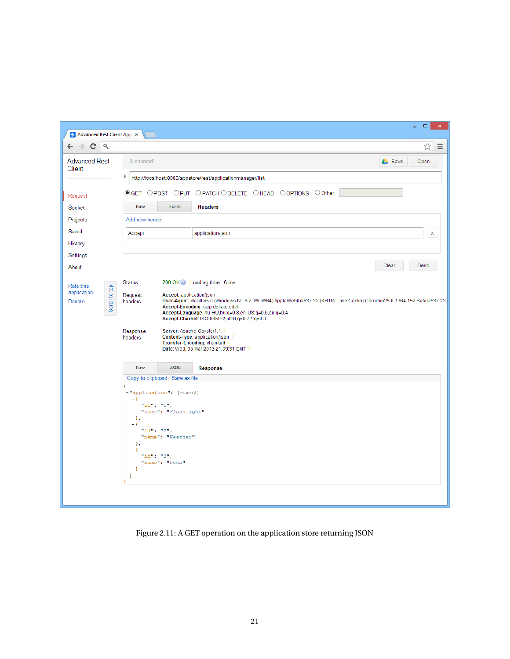| Advanced Rest Client App X                                              |                                           |                                                                                                                                       |                                                                                                                                                                                                                                                                             | $\Box$<br>$\mathsf{x}$<br>÷. |  |  |  |  |
|-------------------------------------------------------------------------|-------------------------------------------|---------------------------------------------------------------------------------------------------------------------------------------|-----------------------------------------------------------------------------------------------------------------------------------------------------------------------------------------------------------------------------------------------------------------------------|------------------------------|--|--|--|--|
| ☆<br>$\mathbf{C}$<br>Q<br>$\equiv$<br>$\Rightarrow$<br>$\leftarrow$     |                                           |                                                                                                                                       |                                                                                                                                                                                                                                                                             |                              |  |  |  |  |
| <b>Advanced Rest</b><br>[Unnamed]<br><b>Save</b><br>Open<br>Client<br>Þ |                                           |                                                                                                                                       |                                                                                                                                                                                                                                                                             |                              |  |  |  |  |
|                                                                         |                                           |                                                                                                                                       | http://localhost:8080/appstore/rest/applicationmanager/list                                                                                                                                                                                                                 |                              |  |  |  |  |
| Request                                                                 | $\odot$ GET                               |                                                                                                                                       | OPOST OPUT OPATCH ODELETE OHEAD OOPTIONS OOther                                                                                                                                                                                                                             |                              |  |  |  |  |
| Socket                                                                  | Raw                                       | Form                                                                                                                                  | <b>Headers</b>                                                                                                                                                                                                                                                              |                              |  |  |  |  |
| Projects                                                                | Add new header                            |                                                                                                                                       |                                                                                                                                                                                                                                                                             |                              |  |  |  |  |
| Saved                                                                   | Accept                                    |                                                                                                                                       | application/json                                                                                                                                                                                                                                                            | x                            |  |  |  |  |
| History                                                                 |                                           |                                                                                                                                       |                                                                                                                                                                                                                                                                             |                              |  |  |  |  |
| Settings                                                                |                                           |                                                                                                                                       |                                                                                                                                                                                                                                                                             |                              |  |  |  |  |
| About                                                                   |                                           |                                                                                                                                       |                                                                                                                                                                                                                                                                             | Send<br>Clear                |  |  |  |  |
| Rate this                                                               | <b>Status</b>                             |                                                                                                                                       | 200 OK Loading time: 6 ms                                                                                                                                                                                                                                                   |                              |  |  |  |  |
| Scroll to top<br>application<br>Donate                                  | Request<br>headers                        | Accept: application/json                                                                                                              | User-Agent: Mozilla/5.0 (Windows NT 6.2; WOW64) AppleWebKit/537.22 (KHTML, like Gecko) Chrome/25.0.1364.152 Safari/537.22<br>Accept-Encoding: gzip, deflate, sdch<br>Accept-Language: hu-HU,hu;q=0.8,en-US;q=0.6,en;q=0.4<br>Accept-Charset: ISO-8859-2,utf-8;q=0.7,*;q=0.3 |                              |  |  |  |  |
|                                                                         | Response<br>headers                       |                                                                                                                                       | Server: Apache-Coyote/1.1<br>Content-Type: application/json<br>Transfer-Encoding: chunked<br>Date: Wed, 06 Mar 2013 21:39:31 GMT \                                                                                                                                          |                              |  |  |  |  |
|                                                                         | Raw                                       | <b>JSON</b>                                                                                                                           | <b>Response</b>                                                                                                                                                                                                                                                             |                              |  |  |  |  |
|                                                                         |                                           | Copy to clipboard Save as file                                                                                                        |                                                                                                                                                                                                                                                                             |                              |  |  |  |  |
|                                                                         | - {<br>۱,<br>$-$ {<br>Υ,<br>- {<br>ŀ<br>ı | -"application": [size(3)<br>"id": " $1$ ",<br>"name": "Flashlight"<br>"id": "2",<br>"name": "Weather"<br>"id": "3",<br>"name": "News" |                                                                                                                                                                                                                                                                             |                              |  |  |  |  |
|                                                                         |                                           |                                                                                                                                       |                                                                                                                                                                                                                                                                             |                              |  |  |  |  |

Figure 2.11: A GET operation on the application store returning JSON